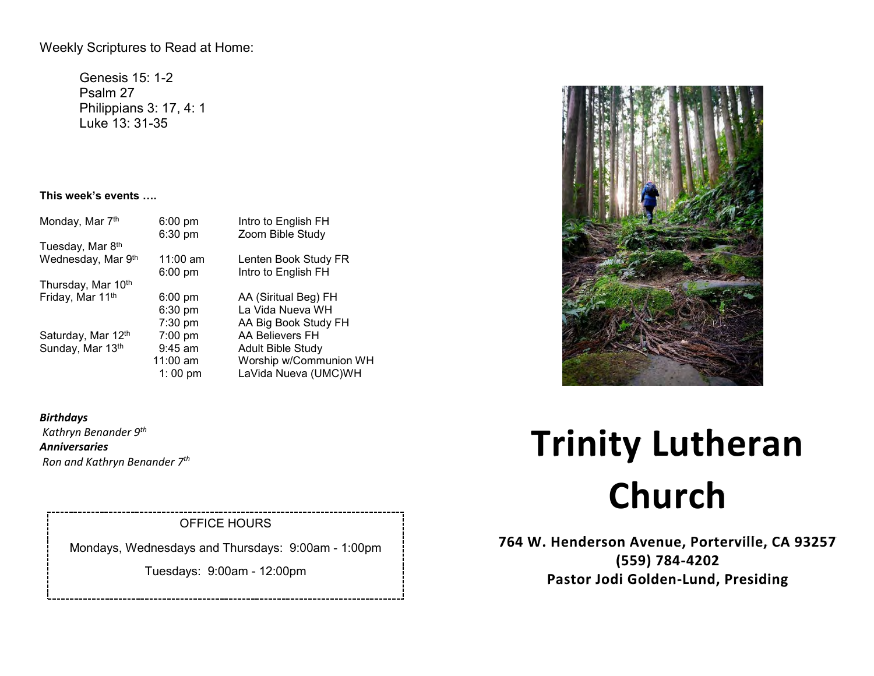Weekly Scriptures to Read at Home:

Genesis 15: 1-2 Psalm 27 Philippians 3: 17, 4: 1 Luke 13: 31-35

# **This week's events ….**

| $6:00$ pm         | Intro to English FH      |
|-------------------|--------------------------|
|                   | Zoom Bible Study         |
|                   |                          |
| $11:00$ am        | Lenten Book Study FR     |
|                   | Intro to English FH      |
|                   |                          |
| $6:00 \text{ pm}$ | AA (Siritual Beg) FH     |
| 6:30 pm           | La Vida Nueva WH         |
| 7:30 pm           | AA Big Book Study FH     |
| $7:00$ pm         | AA Believers FH          |
| $9:45$ am         | <b>Adult Bible Study</b> |
| $11:00$ am        | Worship w/Communion WH   |
| 1:00 pm           | LaVida Nueva (UMC)WH     |
|                   | 6:30 pm<br>$6:00$ pm     |

*Birthdays Kathryn Benander 9th Anniversaries Ron and Kathryn Benander 7th* 

# OFFICE HOURS

Mondays, Wednesdays and Thursdays: 9:00am - 1:00pm

Tuesdays: 9:00am - 12:00pm



# **Trinity Lutheran Church**

**764 W. Henderson Avenue, Porterville, CA 93257 (559) 784-4202 Pastor Jodi Golden-Lund, Presiding**